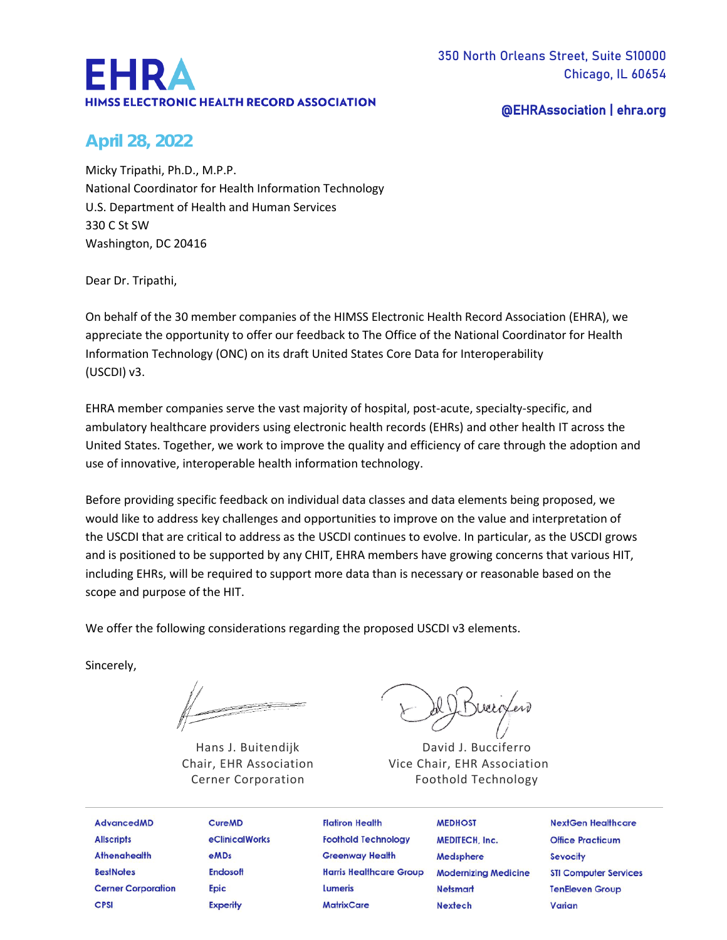# EHRA **HIMSS ELECTRONIC HEALTH RECORD ASSOCIATION**

@EHRAssociation | ehra.org

# **April 28, 2022**

Micky Tripathi, Ph.D., M.P.P. National Coordinator for Health Information Technology U.S. Department of Health and Human Services 330 C St SW Washington, DC 20416

Dear Dr. Tripathi,

On behalf of the 30 member companies of the HIMSS Electronic Health Record Association (EHRA), we appreciate the opportunity to offer our feedback to The Office of the National Coordinator for Health Information Technology (ONC) on its draft United States Core Data for Interoperability (USCDI) v3.

EHRA member companies serve the vast majority of hospital, post-acute, specialty-specific, and ambulatory healthcare providers using electronic health records (EHRs) and other health IT across the United States. Together, we work to improve the quality and efficiency of care through the adoption and use of innovative, interoperable health information technology.

Before providing specific feedback on individual data classes and data elements being proposed, we would like to address key challenges and opportunities to improve on the value and interpretation of the USCDI that are critical to address as the USCDI continues to evolve. In particular, as the USCDI grows and is positioned to be supported by any CHIT, EHRA members have growing concerns that various HIT, including EHRs, will be required to support more data than is necessary or reasonable based on the scope and purpose of the HIT.

We offer the following considerations regarding the proposed USCDI v3 elements.

Sincerely,

Hans J. Buitendijk Chair, EHR Association Cerner Corporation

David J. Bucciferro Vice Chair, EHR Association Foothold Technology

| <b>AdvancedMD</b>         | <b>CureMD</b>   | <b>Flatiron Health</b>         | <b>MEDHOST</b>              | <b>NextGen Healthcare</b>    |
|---------------------------|-----------------|--------------------------------|-----------------------------|------------------------------|
| <b>Allscripts</b>         | eClinicalWorks  | <b>Foothold Technology</b>     | <b>MEDITECH, Inc.</b>       | <b>Office Practicum</b>      |
| <b>Athenahealth</b>       | <b>eMDs</b>     | <b>Greenway Health</b>         | Medsphere                   | <b>Sevocity</b>              |
| <b>BestNotes</b>          | <b>Endosoft</b> | <b>Harris Healthcare Group</b> | <b>Modernizing Medicine</b> | <b>STI Computer Services</b> |
| <b>Cerner Corporation</b> | <b>Epic</b>     | Lumeris                        | <b>Netsmart</b>             | <b>TenEleven Group</b>       |
| <b>CPSI</b>               | <b>Experity</b> | <b>MatrixCare</b>              | <b>Nextech</b>              | Varian                       |
|                           |                 |                                |                             |                              |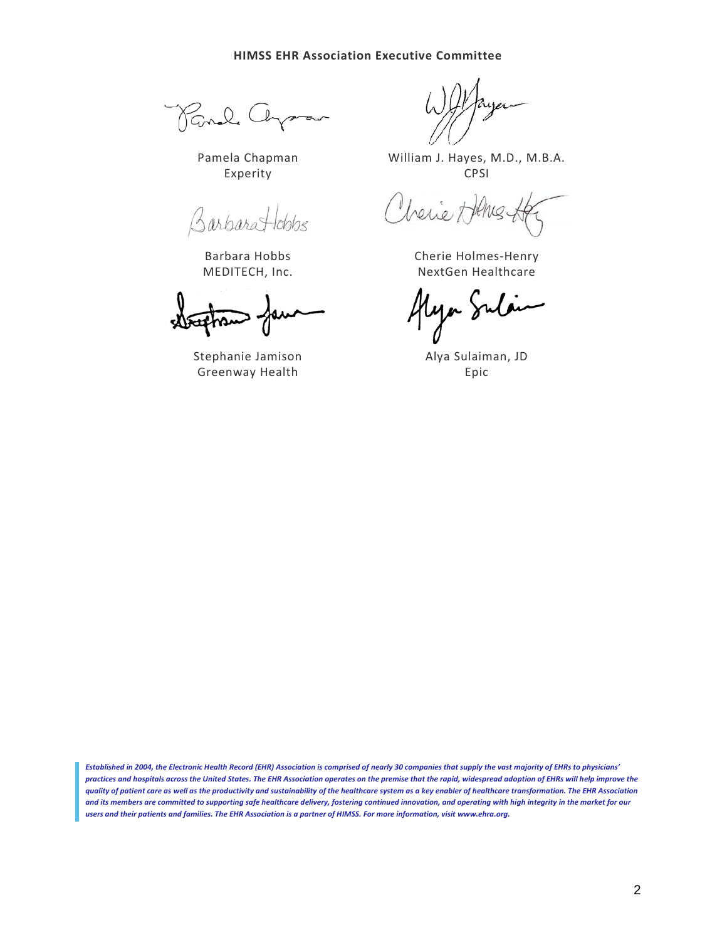Rand Ch

Pamela Chapman Experity

BarbaraHobbs

Barbara Hobbs MEDITECH, Inc.

Stephanie Jamison Greenway Health

William J. Hayes, M.D., M.B.A. CPSI

Cherier

Cherie Holmes-Henry NextGen Healthcare

ya Sulaim

Alya Sulaiman, JD Epic

*Established in 2004, the Electronic Health Record (EHR) Association is comprised of nearly 30 companies that supply the vast majority of EHRs to physicians' practices and hospitals across the United States. The EHR Association operates on the premise that the rapid, widespread adoption of EHRs will help improve the quality of patient care as well as the productivity and sustainability of the healthcare system as a key enabler of healthcare transformation. The EHR Association and its members are committed to supporting safe healthcare delivery, fostering continued innovation, and operating with high integrity in the market for our users and their patients and families. The EHR Association is a partner of HIMSS. For more information, visi[t www.ehra.org.](http://www.ehra.org/)*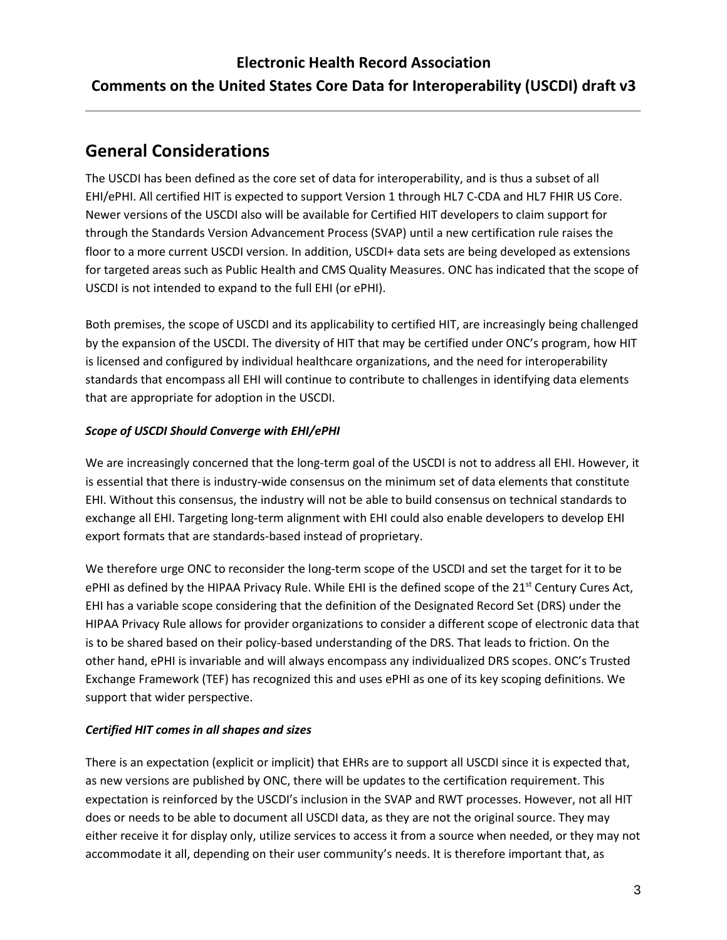# **General Considerations**

The USCDI has been defined as the core set of data for interoperability, and is thus a subset of all EHI/ePHI. All certified HIT is expected to support Version 1 through HL7 C-CDA and HL7 FHIR US Core. Newer versions of the USCDI also will be available for Certified HIT developers to claim support for through the Standards Version Advancement Process (SVAP) until a new certification rule raises the floor to a more current USCDI version. In addition, USCDI+ data sets are being developed as extensions for targeted areas such as Public Health and CMS Quality Measures. ONC has indicated that the scope of USCDI is not intended to expand to the full EHI (or ePHI).

Both premises, the scope of USCDI and its applicability to certified HIT, are increasingly being challenged by the expansion of the USCDI. The diversity of HIT that may be certified under ONC's program, how HIT is licensed and configured by individual healthcare organizations, and the need for interoperability standards that encompass all EHI will continue to contribute to challenges in identifying data elements that are appropriate for adoption in the USCDI.

## *Scope of USCDI Should Converge with EHI/ePHI*

We are increasingly concerned that the long-term goal of the USCDI is not to address all EHI. However, it is essential that there is industry-wide consensus on the minimum set of data elements that constitute EHI. Without this consensus, the industry will not be able to build consensus on technical standards to exchange all EHI. Targeting long-term alignment with EHI could also enable developers to develop EHI export formats that are standards-based instead of proprietary.

We therefore urge ONC to reconsider the long-term scope of the USCDI and set the target for it to be ePHI as defined by the HIPAA Privacy Rule. While EHI is the defined scope of the 21<sup>st</sup> Century Cures Act, EHI has a variable scope considering that the definition of the Designated Record Set (DRS) under the HIPAA Privacy Rule allows for provider organizations to consider a different scope of electronic data that is to be shared based on their policy-based understanding of the DRS. That leads to friction. On the other hand, ePHI is invariable and will always encompass any individualized DRS scopes. ONC's Trusted Exchange Framework (TEF) has recognized this and uses ePHI as one of its key scoping definitions. We support that wider perspective.

## *Certified HIT comes in all shapes and sizes*

There is an expectation (explicit or implicit) that EHRs are to support all USCDI since it is expected that, as new versions are published by ONC, there will be updates to the certification requirement. This expectation is reinforced by the USCDI's inclusion in the SVAP and RWT processes. However, not all HIT does or needs to be able to document all USCDI data, as they are not the original source. They may either receive it for display only, utilize services to access it from a source when needed, or they may not accommodate it all, depending on their user community's needs. It is therefore important that, as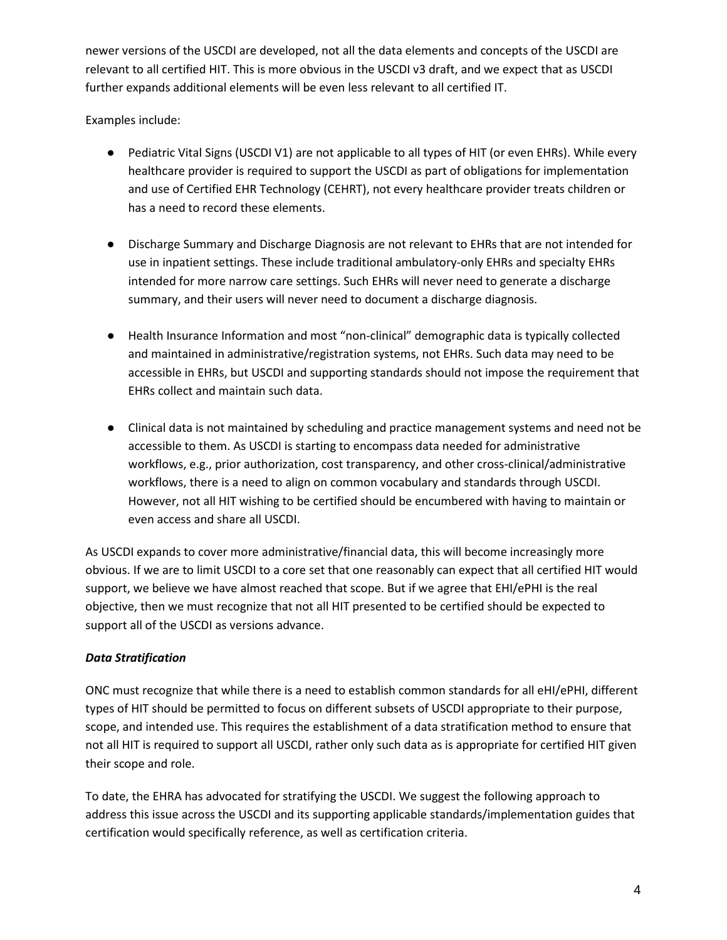newer versions of the USCDI are developed, not all the data elements and concepts of the USCDI are relevant to all certified HIT. This is more obvious in the USCDI v3 draft, and we expect that as USCDI further expands additional elements will be even less relevant to all certified IT.

Examples include:

- Pediatric Vital Signs (USCDI V1) are not applicable to all types of HIT (or even EHRs). While every healthcare provider is required to support the USCDI as part of obligations for implementation and use of Certified EHR Technology (CEHRT), not every healthcare provider treats children or has a need to record these elements.
- Discharge Summary and Discharge Diagnosis are not relevant to EHRs that are not intended for use in inpatient settings. These include traditional ambulatory-only EHRs and specialty EHRs intended for more narrow care settings. Such EHRs will never need to generate a discharge summary, and their users will never need to document a discharge diagnosis.
- Health Insurance Information and most "non-clinical" demographic data is typically collected and maintained in administrative/registration systems, not EHRs. Such data may need to be accessible in EHRs, but USCDI and supporting standards should not impose the requirement that EHRs collect and maintain such data.
- Clinical data is not maintained by scheduling and practice management systems and need not be accessible to them. As USCDI is starting to encompass data needed for administrative workflows, e.g., prior authorization, cost transparency, and other cross-clinical/administrative workflows, there is a need to align on common vocabulary and standards through USCDI. However, not all HIT wishing to be certified should be encumbered with having to maintain or even access and share all USCDI.

As USCDI expands to cover more administrative/financial data, this will become increasingly more obvious. If we are to limit USCDI to a core set that one reasonably can expect that all certified HIT would support, we believe we have almost reached that scope. But if we agree that EHI/ePHI is the real objective, then we must recognize that not all HIT presented to be certified should be expected to support all of the USCDI as versions advance.

## *Data Stratification*

ONC must recognize that while there is a need to establish common standards for all eHI/ePHI, different types of HIT should be permitted to focus on different subsets of USCDI appropriate to their purpose, scope, and intended use. This requires the establishment of a data stratification method to ensure that not all HIT is required to support all USCDI, rather only such data as is appropriate for certified HIT given their scope and role.

To date, the EHRA has advocated for stratifying the USCDI. We suggest the following approach to address this issue across the USCDI and its supporting applicable standards/implementation guides that certification would specifically reference, as well as certification criteria.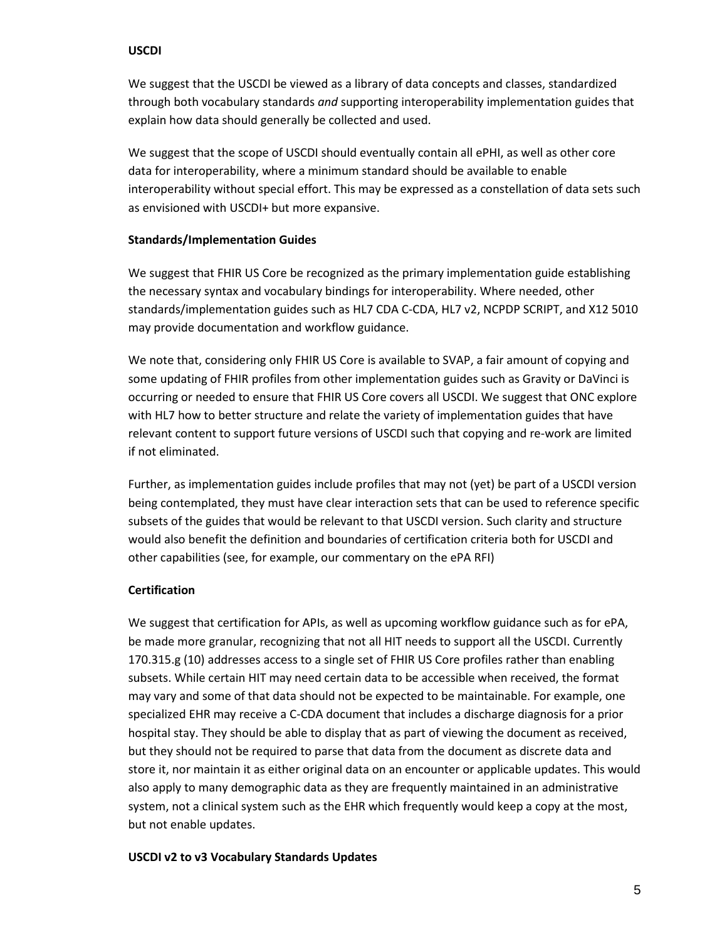#### **USCDI**

We suggest that the USCDI be viewed as a library of data concepts and classes, standardized through both vocabulary standards *and* supporting interoperability implementation guides that explain how data should generally be collected and used.

We suggest that the scope of USCDI should eventually contain all ePHI, as well as other core data for interoperability, where a minimum standard should be available to enable interoperability without special effort. This may be expressed as a constellation of data sets such as envisioned with USCDI+ but more expansive.

#### **Standards/Implementation Guides**

We suggest that FHIR US Core be recognized as the primary implementation guide establishing the necessary syntax and vocabulary bindings for interoperability. Where needed, other standards/implementation guides such as HL7 CDA C-CDA, HL7 v2, NCPDP SCRIPT, and X12 5010 may provide documentation and workflow guidance.

We note that, considering only FHIR US Core is available to SVAP, a fair amount of copying and some updating of FHIR profiles from other implementation guides such as Gravity or DaVinci is occurring or needed to ensure that FHIR US Core covers all USCDI. We suggest that ONC explore with HL7 how to better structure and relate the variety of implementation guides that have relevant content to support future versions of USCDI such that copying and re-work are limited if not eliminated.

Further, as implementation guides include profiles that may not (yet) be part of a USCDI version being contemplated, they must have clear interaction sets that can be used to reference specific subsets of the guides that would be relevant to that USCDI version. Such clarity and structure would also benefit the definition and boundaries of certification criteria both for USCDI and other capabilities (see, for example, our commentary on the ePA RFI)

## **Certification**

We suggest that certification for APIs, as well as upcoming workflow guidance such as for ePA, be made more granular, recognizing that not all HIT needs to support all the USCDI. Currently 170.315.g (10) addresses access to a single set of FHIR US Core profiles rather than enabling subsets. While certain HIT may need certain data to be accessible when received, the format may vary and some of that data should not be expected to be maintainable. For example, one specialized EHR may receive a C-CDA document that includes a discharge diagnosis for a prior hospital stay. They should be able to display that as part of viewing the document as received, but they should not be required to parse that data from the document as discrete data and store it, nor maintain it as either original data on an encounter or applicable updates. This would also apply to many demographic data as they are frequently maintained in an administrative system, not a clinical system such as the EHR which frequently would keep a copy at the most, but not enable updates.

#### **USCDI v2 to v3 Vocabulary Standards Updates**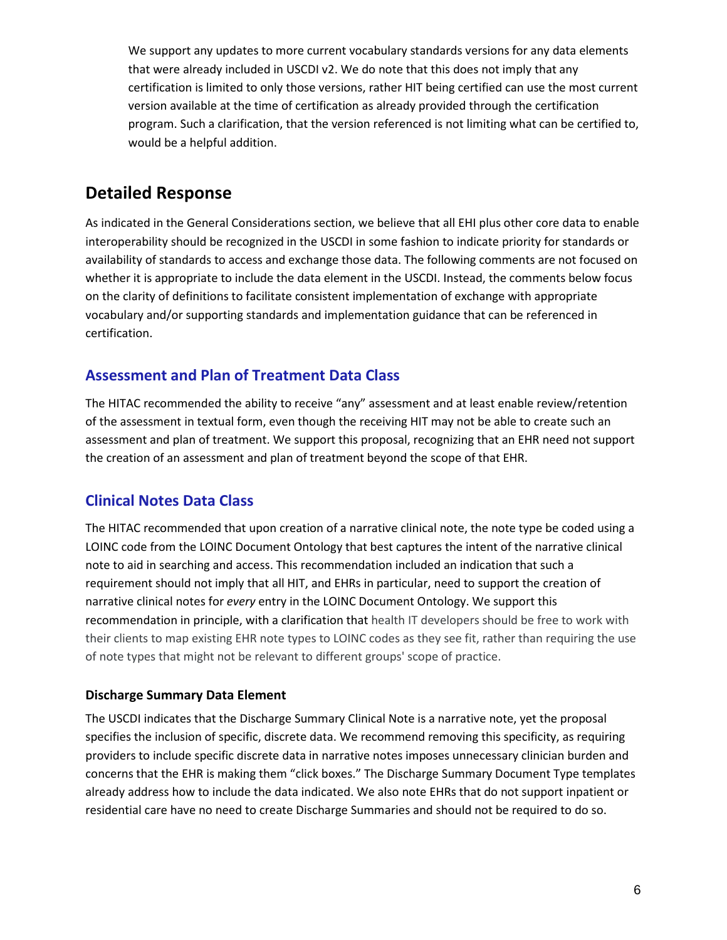We support any updates to more current vocabulary standards versions for any data elements that were already included in USCDI v2. We do note that this does not imply that any certification is limited to only those versions, rather HIT being certified can use the most current version available at the time of certification as already provided through the certification program. Such a clarification, that the version referenced is not limiting what can be certified to, would be a helpful addition.

# **Detailed Response**

As indicated in the General Considerations section, we believe that all EHI plus other core data to enable interoperability should be recognized in the USCDI in some fashion to indicate priority for standards or availability of standards to access and exchange those data. The following comments are not focused on whether it is appropriate to include the data element in the USCDI. Instead, the comments below focus on the clarity of definitions to facilitate consistent implementation of exchange with appropriate vocabulary and/or supporting standards and implementation guidance that can be referenced in certification.

## **Assessment and Plan of Treatment Data Class**

The HITAC recommended the ability to receive "any" assessment and at least enable review/retention of the assessment in textual form, even though the receiving HIT may not be able to create such an assessment and plan of treatment. We support this proposal, recognizing that an EHR need not support the creation of an assessment and plan of treatment beyond the scope of that EHR.

## **Clinical Notes Data Class**

The HITAC recommended that upon creation of a narrative clinical note, the note type be coded using a LOINC code from the LOINC Document Ontology that best captures the intent of the narrative clinical note to aid in searching and access. This recommendation included an indication that such a requirement should not imply that all HIT, and EHRs in particular, need to support the creation of narrative clinical notes for *every* entry in the LOINC Document Ontology. We support this recommendation in principle, with a clarification that health IT developers should be free to work with their clients to map existing EHR note types to LOINC codes as they see fit, rather than requiring the use of note types that might not be relevant to different groups' scope of practice.

## **Discharge Summary Data Element**

The USCDI indicates that the Discharge Summary Clinical Note is a narrative note, yet the proposal specifies the inclusion of specific, discrete data. We recommend removing this specificity, as requiring providers to include specific discrete data in narrative notes imposes unnecessary clinician burden and concerns that the EHR is making them "click boxes." The Discharge Summary Document Type templates already address how to include the data indicated. We also note EHRs that do not support inpatient or residential care have no need to create Discharge Summaries and should not be required to do so.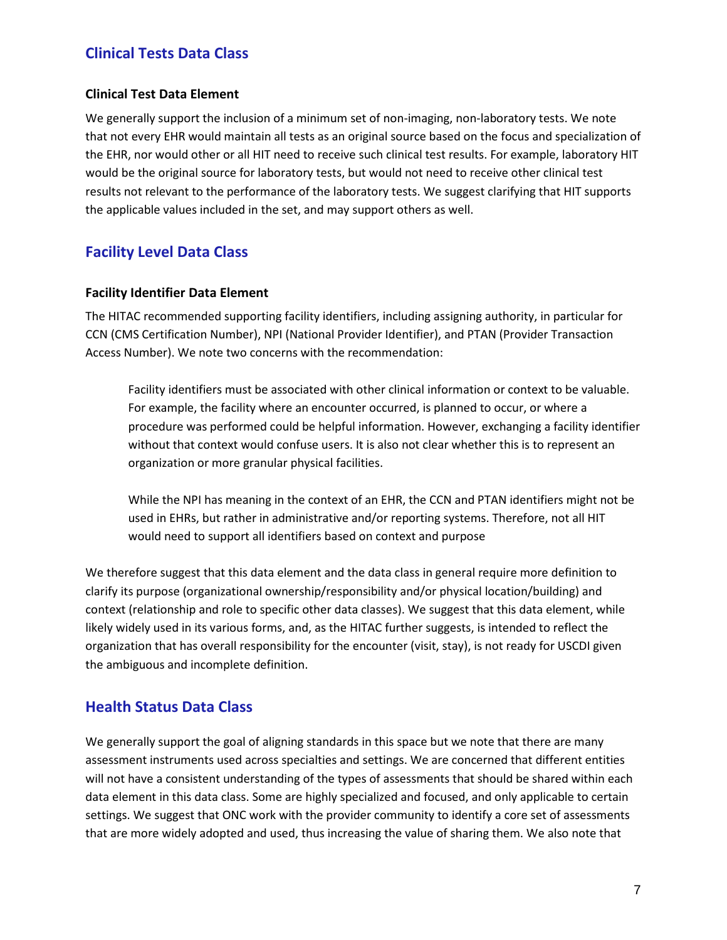## **Clinical Tests Data Class**

## **Clinical Test Data Element**

We generally support the inclusion of a minimum set of non-imaging, non-laboratory tests. We note that not every EHR would maintain all tests as an original source based on the focus and specialization of the EHR, nor would other or all HIT need to receive such clinical test results. For example, laboratory HIT would be the original source for laboratory tests, but would not need to receive other clinical test results not relevant to the performance of the laboratory tests. We suggest clarifying that HIT supports the applicable values included in the set, and may support others as well.

## **Facility Level Data Class**

#### **Facility Identifier Data Element**

The HITAC recommended supporting facility identifiers, including assigning authority, in particular for CCN (CMS Certification Number), NPI (National Provider Identifier), and PTAN (Provider Transaction Access Number). We note two concerns with the recommendation:

Facility identifiers must be associated with other clinical information or context to be valuable. For example, the facility where an encounter occurred, is planned to occur, or where a procedure was performed could be helpful information. However, exchanging a facility identifier without that context would confuse users. It is also not clear whether this is to represent an organization or more granular physical facilities.

While the NPI has meaning in the context of an EHR, the CCN and PTAN identifiers might not be used in EHRs, but rather in administrative and/or reporting systems. Therefore, not all HIT would need to support all identifiers based on context and purpose

We therefore suggest that this data element and the data class in general require more definition to clarify its purpose (organizational ownership/responsibility and/or physical location/building) and context (relationship and role to specific other data classes). We suggest that this data element, while likely widely used in its various forms, and, as the HITAC further suggests, is intended to reflect the organization that has overall responsibility for the encounter (visit, stay), is not ready for USCDI given the ambiguous and incomplete definition.

## **Health Status Data Class**

We generally support the goal of aligning standards in this space but we note that there are many assessment instruments used across specialties and settings. We are concerned that different entities will not have a consistent understanding of the types of assessments that should be shared within each data element in this data class. Some are highly specialized and focused, and only applicable to certain settings. We suggest that ONC work with the provider community to identify a core set of assessments that are more widely adopted and used, thus increasing the value of sharing them. We also note that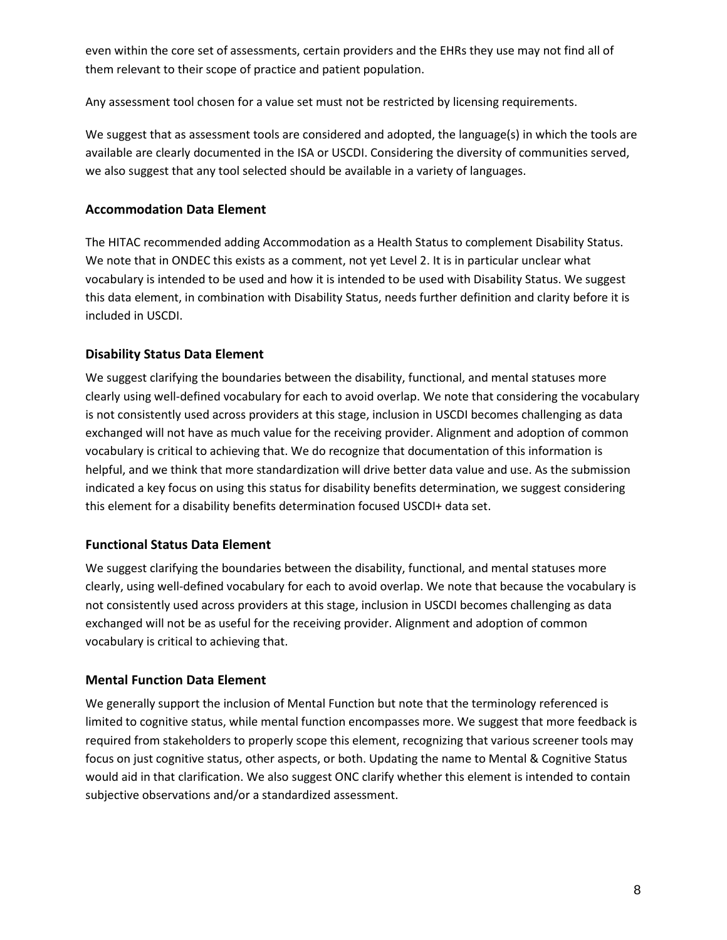even within the core set of assessments, certain providers and the EHRs they use may not find all of them relevant to their scope of practice and patient population.

Any assessment tool chosen for a value set must not be restricted by licensing requirements.

We suggest that as assessment tools are considered and adopted, the language(s) in which the tools are available are clearly documented in the ISA or USCDI. Considering the diversity of communities served, we also suggest that any tool selected should be available in a variety of languages.

## **Accommodation Data Element**

The HITAC recommended adding Accommodation as a Health Status to complement Disability Status. We note that in ONDEC this exists as a comment, not yet Level 2. It is in particular unclear what vocabulary is intended to be used and how it is intended to be used with Disability Status. We suggest this data element, in combination with Disability Status, needs further definition and clarity before it is included in USCDI.

## **Disability Status Data Element**

We suggest clarifying the boundaries between the disability, functional, and mental statuses more clearly using well-defined vocabulary for each to avoid overlap. We note that considering the vocabulary is not consistently used across providers at this stage, inclusion in USCDI becomes challenging as data exchanged will not have as much value for the receiving provider. Alignment and adoption of common vocabulary is critical to achieving that. We do recognize that documentation of this information is helpful, and we think that more standardization will drive better data value and use. As the submission indicated a key focus on using this status for disability benefits determination, we suggest considering this element for a disability benefits determination focused USCDI+ data set.

## **Functional Status Data Element**

We suggest clarifying the boundaries between the disability, functional, and mental statuses more clearly, using well-defined vocabulary for each to avoid overlap. We note that because the vocabulary is not consistently used across providers at this stage, inclusion in USCDI becomes challenging as data exchanged will not be as useful for the receiving provider. Alignment and adoption of common vocabulary is critical to achieving that.

## **Mental Function Data Element**

We generally support the inclusion of Mental Function but note that the terminology referenced is limited to cognitive status, while mental function encompasses more. We suggest that more feedback is required from stakeholders to properly scope this element, recognizing that various screener tools may focus on just cognitive status, other aspects, or both. Updating the name to Mental & Cognitive Status would aid in that clarification. We also suggest ONC clarify whether this element is intended to contain subjective observations and/or a standardized assessment.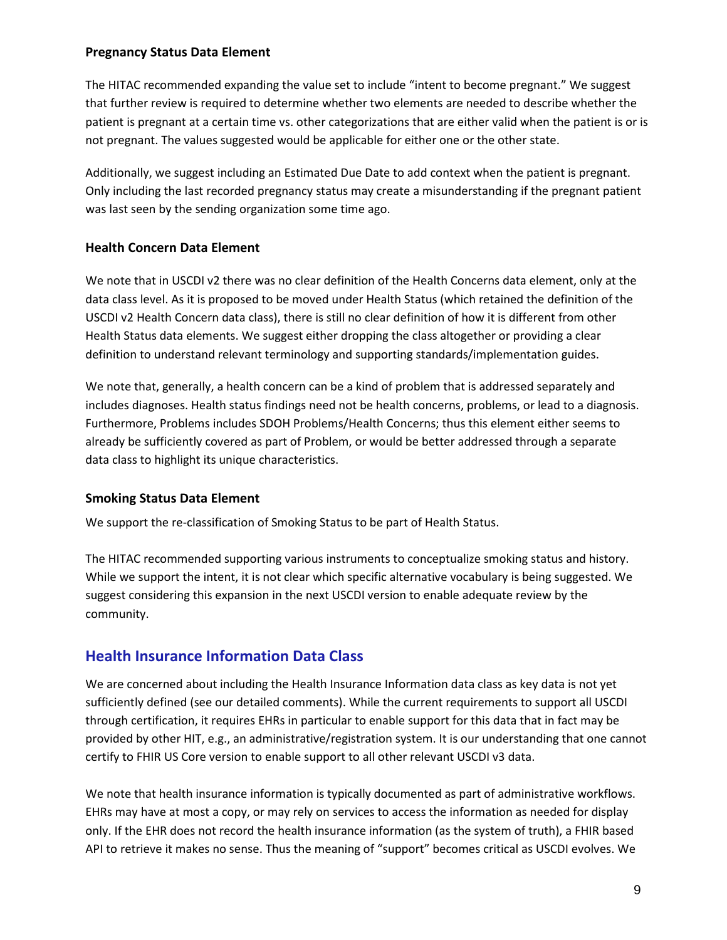## **Pregnancy Status Data Element**

The HITAC recommended expanding the value set to include "intent to become pregnant." We suggest that further review is required to determine whether two elements are needed to describe whether the patient is pregnant at a certain time vs. other categorizations that are either valid when the patient is or is not pregnant. The values suggested would be applicable for either one or the other state.

Additionally, we suggest including an Estimated Due Date to add context when the patient is pregnant. Only including the last recorded pregnancy status may create a misunderstanding if the pregnant patient was last seen by the sending organization some time ago.

## **Health Concern Data Element**

We note that in USCDI v2 there was no clear definition of the Health Concerns data element, only at the data class level. As it is proposed to be moved under Health Status (which retained the definition of the USCDI v2 Health Concern data class), there is still no clear definition of how it is different from other Health Status data elements. We suggest either dropping the class altogether or providing a clear definition to understand relevant terminology and supporting standards/implementation guides.

We note that, generally, a health concern can be a kind of problem that is addressed separately and includes diagnoses. Health status findings need not be health concerns, problems, or lead to a diagnosis. Furthermore, Problems includes SDOH Problems/Health Concerns; thus this element either seems to already be sufficiently covered as part of Problem, or would be better addressed through a separate data class to highlight its unique characteristics.

## **Smoking Status Data Element**

We support the re-classification of Smoking Status to be part of Health Status.

The HITAC recommended supporting various instruments to conceptualize smoking status and history. While we support the intent, it is not clear which specific alternative vocabulary is being suggested. We suggest considering this expansion in the next USCDI version to enable adequate review by the community.

## **Health Insurance Information Data Class**

We are concerned about including the Health Insurance Information data class as key data is not yet sufficiently defined (see our detailed comments). While the current requirements to support all USCDI through certification, it requires EHRs in particular to enable support for this data that in fact may be provided by other HIT, e.g., an administrative/registration system. It is our understanding that one cannot certify to FHIR US Core version to enable support to all other relevant USCDI v3 data.

We note that health insurance information is typically documented as part of administrative workflows. EHRs may have at most a copy, or may rely on services to access the information as needed for display only. If the EHR does not record the health insurance information (as the system of truth), a FHIR based API to retrieve it makes no sense. Thus the meaning of "support" becomes critical as USCDI evolves. We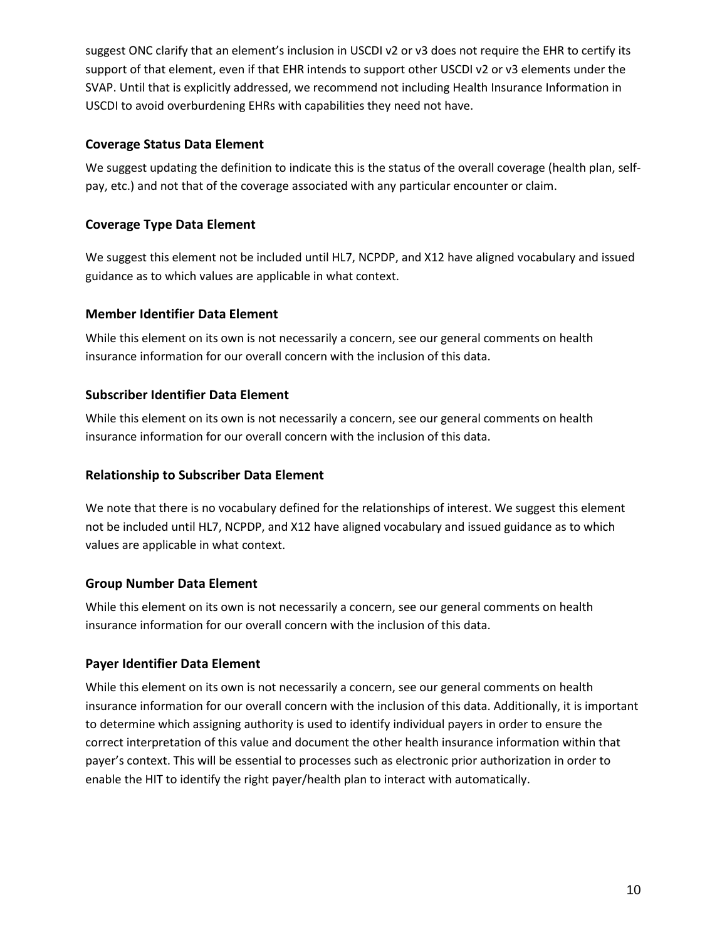suggest ONC clarify that an element's inclusion in USCDI v2 or v3 does not require the EHR to certify its support of that element, even if that EHR intends to support other USCDI v2 or v3 elements under the SVAP. Until that is explicitly addressed, we recommend not including Health Insurance Information in USCDI to avoid overburdening EHRs with capabilities they need not have.

## **Coverage Status Data Element**

We suggest updating the definition to indicate this is the status of the overall coverage (health plan, selfpay, etc.) and not that of the coverage associated with any particular encounter or claim.

## **Coverage Type Data Element**

We suggest this element not be included until HL7, NCPDP, and X12 have aligned vocabulary and issued guidance as to which values are applicable in what context.

## **Member Identifier Data Element**

While this element on its own is not necessarily a concern, see our general comments on health insurance information for our overall concern with the inclusion of this data.

## **Subscriber Identifier Data Element**

While this element on its own is not necessarily a concern, see our general comments on health insurance information for our overall concern with the inclusion of this data.

## **Relationship to Subscriber Data Element**

We note that there is no vocabulary defined for the relationships of interest. We suggest this element not be included until HL7, NCPDP, and X12 have aligned vocabulary and issued guidance as to which values are applicable in what context.

## **Group Number Data Element**

While this element on its own is not necessarily a concern, see our general comments on health insurance information for our overall concern with the inclusion of this data.

## **Payer Identifier Data Element**

While this element on its own is not necessarily a concern, see our general comments on health insurance information for our overall concern with the inclusion of this data. Additionally, it is important to determine which assigning authority is used to identify individual payers in order to ensure the correct interpretation of this value and document the other health insurance information within that payer's context. This will be essential to processes such as electronic prior authorization in order to enable the HIT to identify the right payer/health plan to interact with automatically.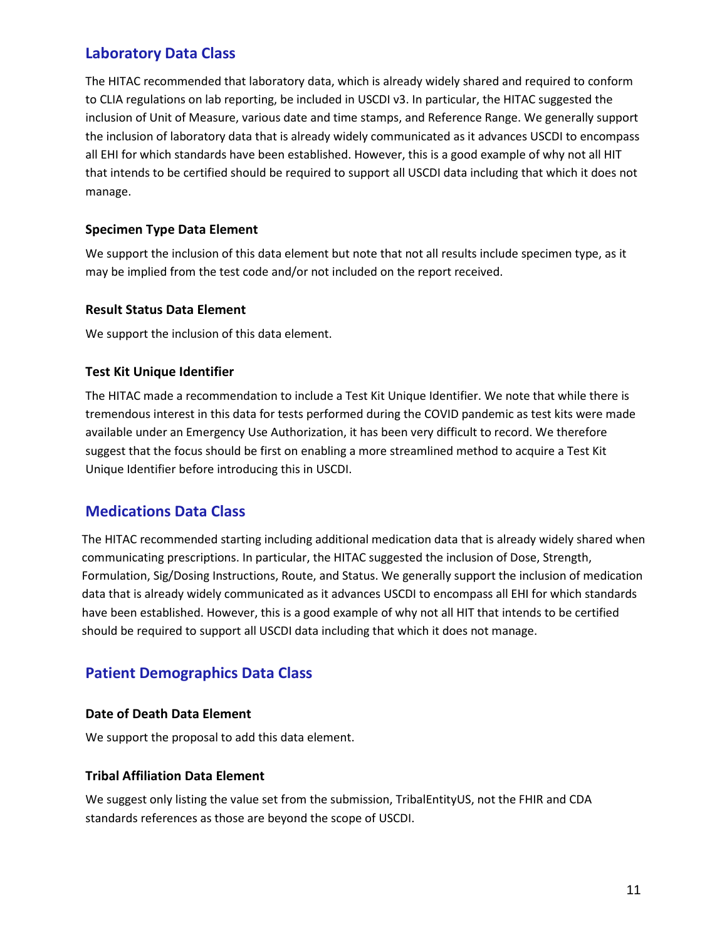## **Laboratory Data Class**

The HITAC recommended that laboratory data, which is already widely shared and required to conform to CLIA regulations on lab reporting, be included in USCDI v3. In particular, the HITAC suggested the inclusion of Unit of Measure, various date and time stamps, and Reference Range. We generally support the inclusion of laboratory data that is already widely communicated as it advances USCDI to encompass all EHI for which standards have been established. However, this is a good example of why not all HIT that intends to be certified should be required to support all USCDI data including that which it does not manage.

## **Specimen Type Data Element**

We support the inclusion of this data element but note that not all results include specimen type, as it may be implied from the test code and/or not included on the report received.

## **Result Status Data Element**

We support the inclusion of this data element.

## **Test Kit Unique Identifier**

The HITAC made a recommendation to include a Test Kit Unique Identifier. We note that while there is tremendous interest in this data for tests performed during the COVID pandemic as test kits were made available under an Emergency Use Authorization, it has been very difficult to record. We therefore suggest that the focus should be first on enabling a more streamlined method to acquire a Test Kit Unique Identifier before introducing this in USCDI.

## **Medications Data Class**

The HITAC recommended starting including additional medication data that is already widely shared when communicating prescriptions. In particular, the HITAC suggested the inclusion of Dose, Strength, Formulation, Sig/Dosing Instructions, Route, and Status. We generally support the inclusion of medication data that is already widely communicated as it advances USCDI to encompass all EHI for which standards have been established. However, this is a good example of why not all HIT that intends to be certified should be required to support all USCDI data including that which it does not manage.

## **Patient Demographics Data Class**

## **Date of Death Data Element**

We support the proposal to add this data element.

## **Tribal Affiliation Data Element**

We suggest only listing the value set from the submission, TribalEntityUS, not the FHIR and CDA standards references as those are beyond the scope of USCDI.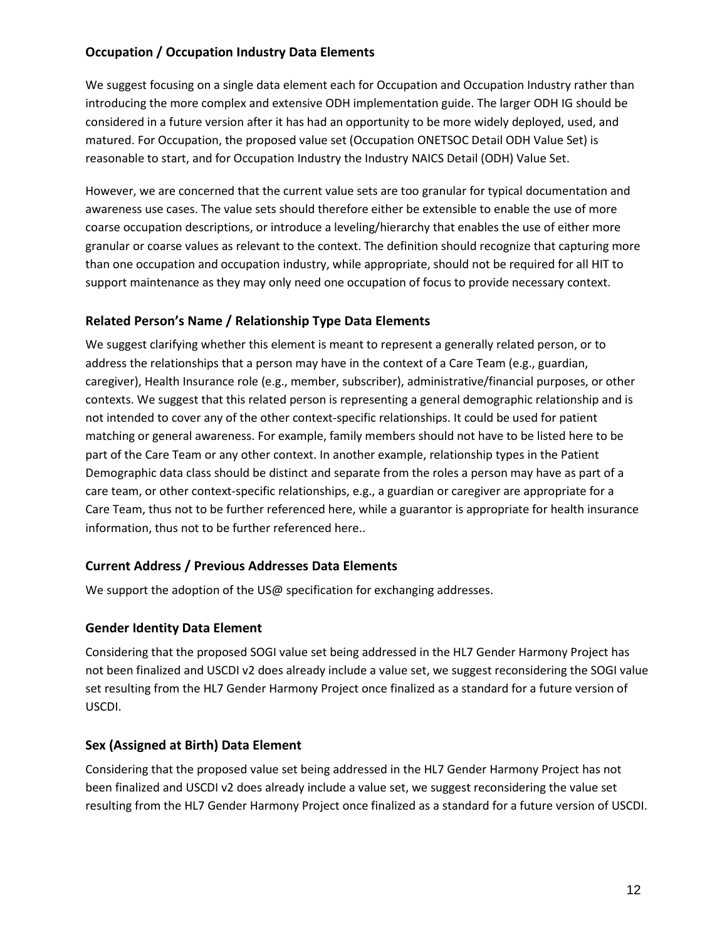## **Occupation / Occupation Industry Data Elements**

We suggest focusing on a single data element each for Occupation and Occupation Industry rather than introducing the more complex and extensive ODH implementation guide. The larger ODH IG should be considered in a future version after it has had an opportunity to be more widely deployed, used, and matured. For Occupation, the proposed value set (Occupation ONETSOC Detail ODH Value Set) is reasonable to start, and for Occupation Industry the [Industry NAICS Detail \(ODH\) Value Set.](https://phinvads.cdc.gov/vads/ViewValueSet.action?oid=2.16.840.1.114222.4.11.7900) 

[However, we](https://phinvads.cdc.gov/vads/ViewValueSet.action?oid=2.16.840.1.114222.4.11.7900) are concerned that the current value sets are too granular for typical documentation and awareness use cases. The value sets should therefore either be extensible to enable the use of more coarse occupation descriptions, or introduce a leveling/hierarchy that enables the use of either more granular or coarse values as relevant to the context. The definition should recognize that capturing more than one occupation and occupation industry, while appropriate, should not be required for all HIT to support maintenance as they may only need one occupation of focus to provide necessary context.

## **Related Person's Name / Relationship Type Data Elements**

We suggest clarifying whether this element is meant to represent a generally related person, or to address the relationships that a person may have in the context of a Care Team (e.g., guardian, caregiver), Health Insurance role (e.g., member, subscriber), administrative/financial purposes, or other contexts. We suggest that this related person is representing a general demographic relationship and is not intended to cover any of the other context-specific relationships. It could be used for patient matching or general awareness. For example, family members should not have to be listed here to be part of the Care Team or any other context. In another example, relationship types in the Patient Demographic data class should be distinct and separate from the roles a person may have as part of a care team, or other context-specific relationships, e.g., a guardian or caregiver are appropriate for a Care Team, thus not to be further referenced here, while a guarantor is appropriate for health insurance information, thus not to be further referenced here..

## **Current Address / Previous Addresses Data Elements**

We support the adoption of the US@ specification for exchanging addresses.

## **Gender Identity Data Element**

Considering that the proposed SOGI value set being addressed in the HL7 Gender Harmony Project has not been finalized and USCDI v2 does already include a value set, we suggest reconsidering the SOGI value set resulting from the HL7 Gender Harmony Project once finalized as a standard for a future version of USCDI.

## **Sex (Assigned at Birth) Data Element**

Considering that the proposed value set being addressed in the HL7 Gender Harmony Project has not been finalized and USCDI v2 does already include a value set, we suggest reconsidering the value set resulting from the HL7 Gender Harmony Project once finalized as a standard for a future version of USCDI.